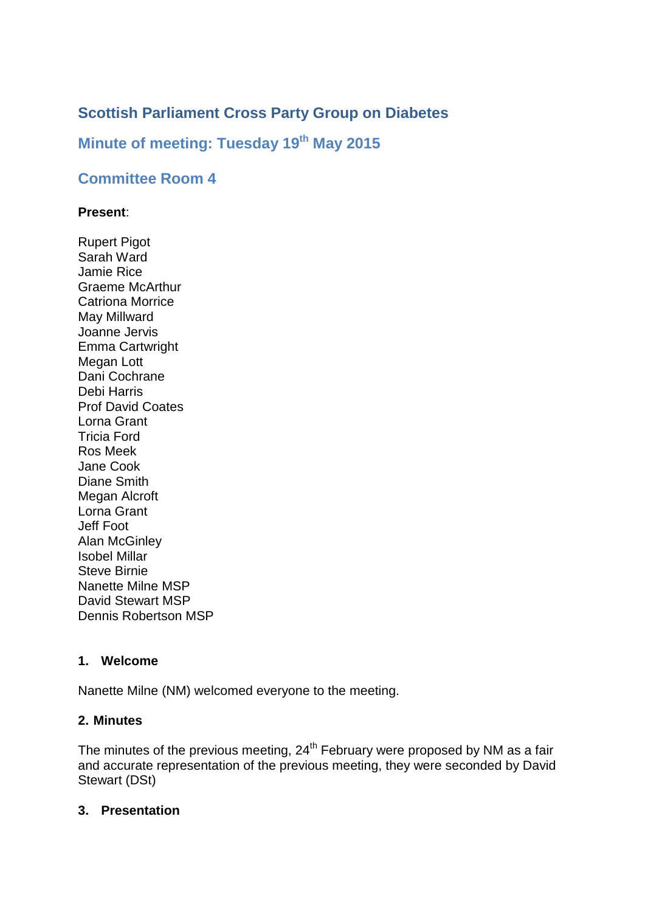# **Scottish Parliament Cross Party Group on Diabetes**

# **Minute of meeting: Tuesday 19th May 2015**

## **Committee Room 4**

#### **Present**:

Rupert Pigot Sarah Ward Jamie Rice Graeme McArthur Catriona Morrice May Millward Joanne Jervis Emma Cartwright Megan Lott Dani Cochrane Debi Harris Prof David Coates Lorna Grant Tricia Ford Ros Meek Jane Cook Diane Smith Megan Alcroft Lorna Grant Jeff Foot Alan McGinley Isobel Millar Steve Birnie Nanette Milne MSP David Stewart MSP Dennis Robertson MSP

#### **1. Welcome**

Nanette Milne (NM) welcomed everyone to the meeting.

### **2. Minutes**

The minutes of the previous meeting, 24<sup>th</sup> February were proposed by NM as a fair and accurate representation of the previous meeting, they were seconded by David Stewart (DSt)

### **3. Presentation**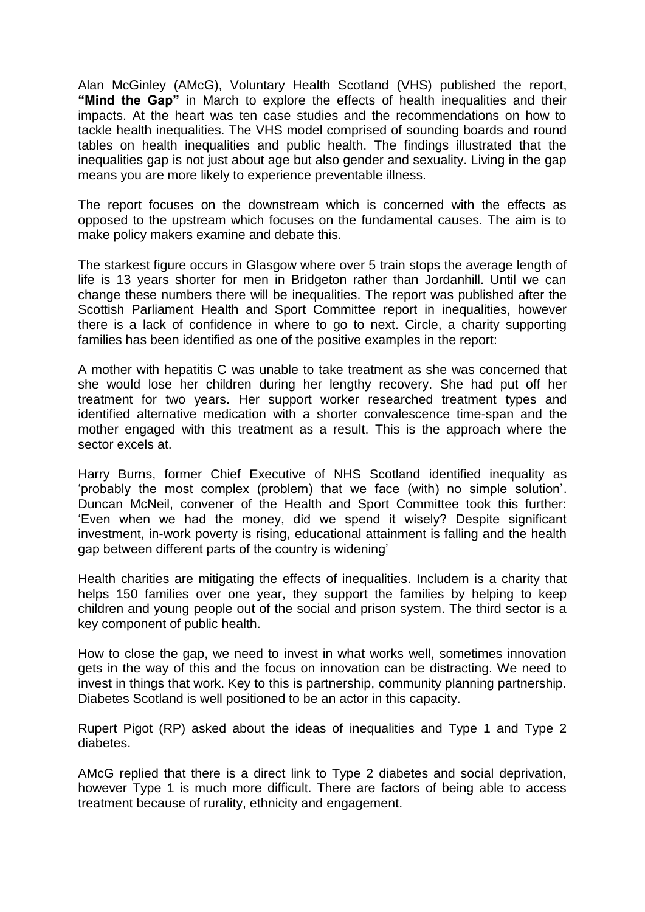Alan McGinley (AMcG), Voluntary Health Scotland (VHS) published the report, **"Mind the Gap"** in March to explore the effects of health inequalities and their impacts. At the heart was ten case studies and the recommendations on how to tackle health inequalities. The VHS model comprised of sounding boards and round tables on health inequalities and public health. The findings illustrated that the inequalities gap is not just about age but also gender and sexuality. Living in the gap means you are more likely to experience preventable illness.

The report focuses on the downstream which is concerned with the effects as opposed to the upstream which focuses on the fundamental causes. The aim is to make policy makers examine and debate this.

The starkest figure occurs in Glasgow where over 5 train stops the average length of life is 13 years shorter for men in Bridgeton rather than Jordanhill. Until we can change these numbers there will be inequalities. The report was published after the Scottish Parliament Health and Sport Committee report in inequalities, however there is a lack of confidence in where to go to next. Circle, a charity supporting families has been identified as one of the positive examples in the report:

A mother with hepatitis C was unable to take treatment as she was concerned that she would lose her children during her lengthy recovery. She had put off her treatment for two years. Her support worker researched treatment types and identified alternative medication with a shorter convalescence time-span and the mother engaged with this treatment as a result. This is the approach where the sector excels at.

Harry Burns, former Chief Executive of NHS Scotland identified inequality as 'probably the most complex (problem) that we face (with) no simple solution'. Duncan McNeil, convener of the Health and Sport Committee took this further: 'Even when we had the money, did we spend it wisely? Despite significant investment, in-work poverty is rising, educational attainment is falling and the health gap between different parts of the country is widening'

Health charities are mitigating the effects of inequalities. Includem is a charity that helps 150 families over one year, they support the families by helping to keep children and young people out of the social and prison system. The third sector is a key component of public health.

How to close the gap, we need to invest in what works well, sometimes innovation gets in the way of this and the focus on innovation can be distracting. We need to invest in things that work. Key to this is partnership, community planning partnership. Diabetes Scotland is well positioned to be an actor in this capacity.

Rupert Pigot (RP) asked about the ideas of inequalities and Type 1 and Type 2 diabetes.

AMcG replied that there is a direct link to Type 2 diabetes and social deprivation, however Type 1 is much more difficult. There are factors of being able to access treatment because of rurality, ethnicity and engagement.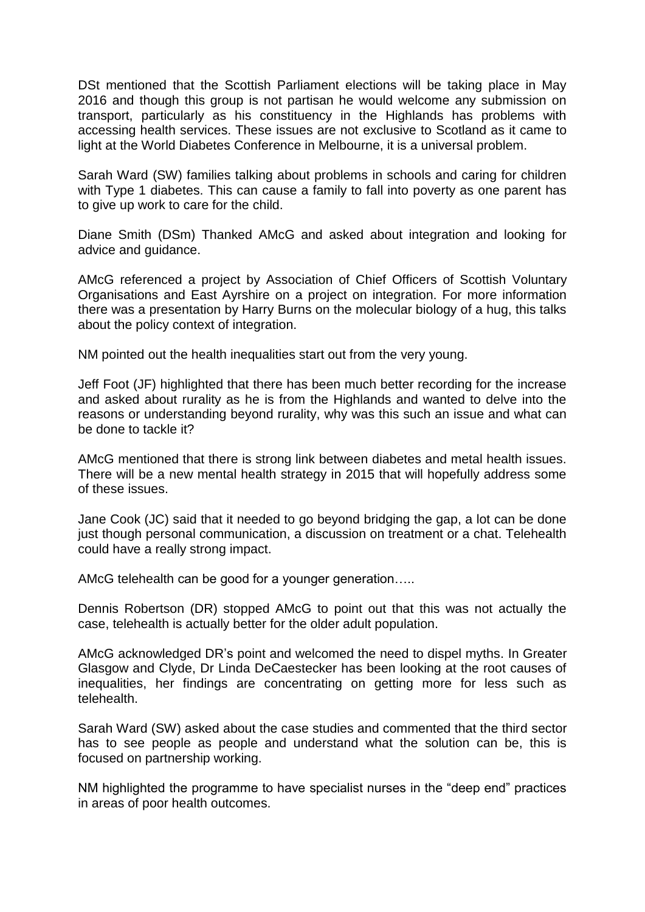DSt mentioned that the Scottish Parliament elections will be taking place in May 2016 and though this group is not partisan he would welcome any submission on transport, particularly as his constituency in the Highlands has problems with accessing health services. These issues are not exclusive to Scotland as it came to light at the World Diabetes Conference in Melbourne, it is a universal problem.

Sarah Ward (SW) families talking about problems in schools and caring for children with Type 1 diabetes. This can cause a family to fall into poverty as one parent has to give up work to care for the child.

Diane Smith (DSm) Thanked AMcG and asked about integration and looking for advice and guidance.

AMcG referenced a project by Association of Chief Officers of Scottish Voluntary Organisations and East Ayrshire on a project on integration. For more information there was a presentation by Harry Burns on the molecular biology of a hug, this talks about the policy context of integration.

NM pointed out the health inequalities start out from the very young.

Jeff Foot (JF) highlighted that there has been much better recording for the increase and asked about rurality as he is from the Highlands and wanted to delve into the reasons or understanding beyond rurality, why was this such an issue and what can be done to tackle it?

AMcG mentioned that there is strong link between diabetes and metal health issues. There will be a new mental health strategy in 2015 that will hopefully address some of these issues.

Jane Cook (JC) said that it needed to go beyond bridging the gap, a lot can be done just though personal communication, a discussion on treatment or a chat. Telehealth could have a really strong impact.

AMcG telehealth can be good for a younger generation…..

Dennis Robertson (DR) stopped AMcG to point out that this was not actually the case, telehealth is actually better for the older adult population.

AMcG acknowledged DR's point and welcomed the need to dispel myths. In Greater Glasgow and Clyde, Dr Linda DeCaestecker has been looking at the root causes of inequalities, her findings are concentrating on getting more for less such as telehealth.

Sarah Ward (SW) asked about the case studies and commented that the third sector has to see people as people and understand what the solution can be, this is focused on partnership working.

NM highlighted the programme to have specialist nurses in the "deep end" practices in areas of poor health outcomes.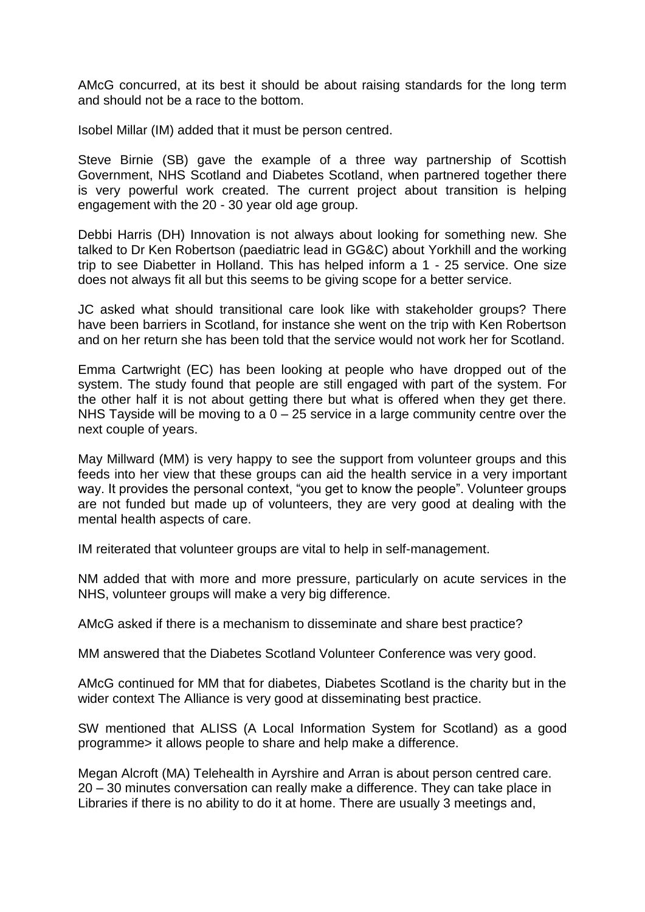AMcG concurred, at its best it should be about raising standards for the long term and should not be a race to the bottom.

Isobel Millar (IM) added that it must be person centred.

Steve Birnie (SB) gave the example of a three way partnership of Scottish Government, NHS Scotland and Diabetes Scotland, when partnered together there is very powerful work created. The current project about transition is helping engagement with the 20 - 30 year old age group.

Debbi Harris (DH) Innovation is not always about looking for something new. She talked to Dr Ken Robertson (paediatric lead in GG&C) about Yorkhill and the working trip to see Diabetter in Holland. This has helped inform a 1 - 25 service. One size does not always fit all but this seems to be giving scope for a better service.

JC asked what should transitional care look like with stakeholder groups? There have been barriers in Scotland, for instance she went on the trip with Ken Robertson and on her return she has been told that the service would not work her for Scotland.

Emma Cartwright (EC) has been looking at people who have dropped out of the system. The study found that people are still engaged with part of the system. For the other half it is not about getting there but what is offered when they get there. NHS Tayside will be moving to a  $0 - 25$  service in a large community centre over the next couple of years.

May Millward (MM) is very happy to see the support from volunteer groups and this feeds into her view that these groups can aid the health service in a very important way. It provides the personal context, "you get to know the people". Volunteer groups are not funded but made up of volunteers, they are very good at dealing with the mental health aspects of care.

IM reiterated that volunteer groups are vital to help in self-management.

NM added that with more and more pressure, particularly on acute services in the NHS, volunteer groups will make a very big difference.

AMcG asked if there is a mechanism to disseminate and share best practice?

MM answered that the Diabetes Scotland Volunteer Conference was very good.

AMcG continued for MM that for diabetes, Diabetes Scotland is the charity but in the wider context The Alliance is very good at disseminating best practice.

SW mentioned that ALISS (A Local Information System for Scotland) as a good programme> it allows people to share and help make a difference.

Megan Alcroft (MA) Telehealth in Ayrshire and Arran is about person centred care. 20 – 30 minutes conversation can really make a difference. They can take place in Libraries if there is no ability to do it at home. There are usually 3 meetings and,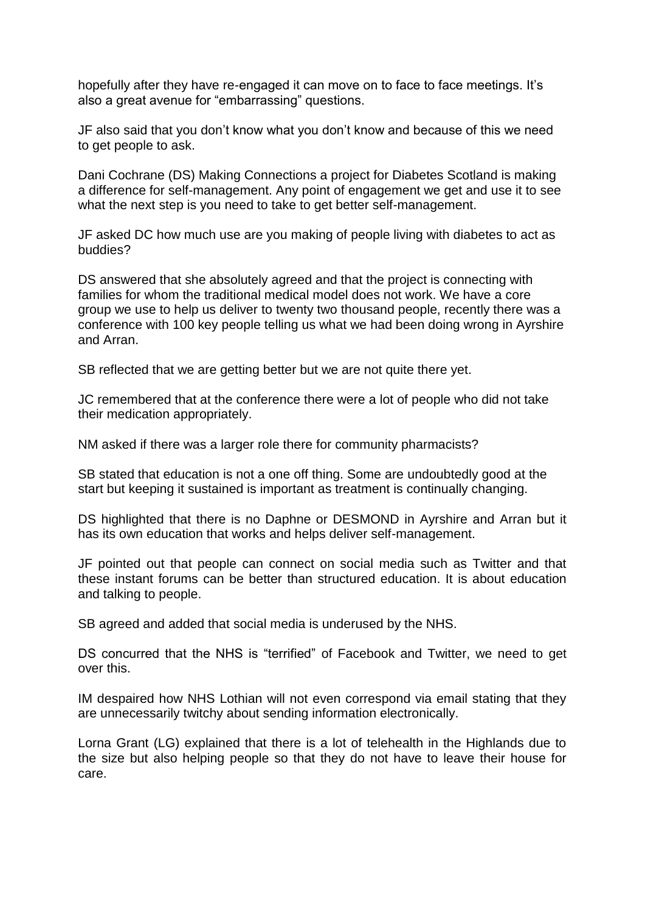hopefully after they have re-engaged it can move on to face to face meetings. It's also a great avenue for "embarrassing" questions.

JF also said that you don't know what you don't know and because of this we need to get people to ask.

Dani Cochrane (DS) Making Connections a project for Diabetes Scotland is making a difference for self-management. Any point of engagement we get and use it to see what the next step is you need to take to get better self-management.

JF asked DC how much use are you making of people living with diabetes to act as buddies?

DS answered that she absolutely agreed and that the project is connecting with families for whom the traditional medical model does not work. We have a core group we use to help us deliver to twenty two thousand people, recently there was a conference with 100 key people telling us what we had been doing wrong in Ayrshire and Arran.

SB reflected that we are getting better but we are not quite there yet.

JC remembered that at the conference there were a lot of people who did not take their medication appropriately.

NM asked if there was a larger role there for community pharmacists?

SB stated that education is not a one off thing. Some are undoubtedly good at the start but keeping it sustained is important as treatment is continually changing.

DS highlighted that there is no Daphne or DESMOND in Ayrshire and Arran but it has its own education that works and helps deliver self-management.

JF pointed out that people can connect on social media such as Twitter and that these instant forums can be better than structured education. It is about education and talking to people.

SB agreed and added that social media is underused by the NHS.

DS concurred that the NHS is "terrified" of Facebook and Twitter, we need to get over this.

IM despaired how NHS Lothian will not even correspond via email stating that they are unnecessarily twitchy about sending information electronically.

Lorna Grant (LG) explained that there is a lot of telehealth in the Highlands due to the size but also helping people so that they do not have to leave their house for care.